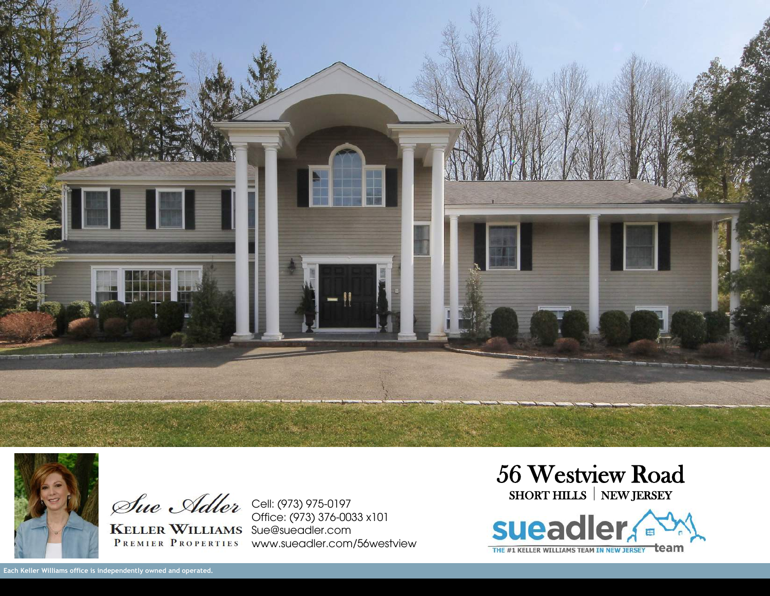



KELLER WILLIAMS Sue@sueadler.com

Cell: (973) 975-0197 Office: (973) 376-0033 x101 PREMIER PROPERTIES WWW.SUEQUEF.COM/56WEStview 56 Westview Road SHORT HILLS | NEW JERSEY

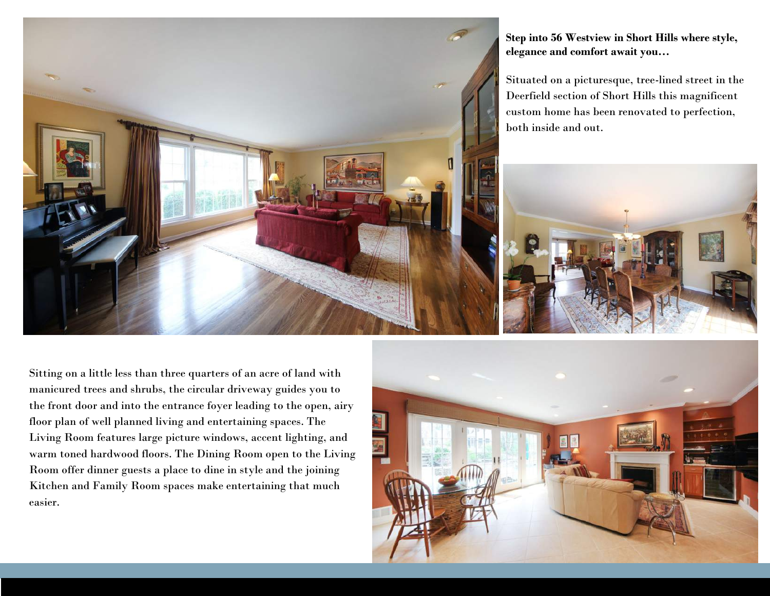

**Step into 56 Westview in Short Hills where style, elegance and comfort await you…**

Situated on a picturesque, tree-lined street in the Deerfield section of Short Hills this magnificent custom home has been renovated to perfection, both inside and out.



Sitting on a little less than three quarters of an acre of land with manicured trees and shrubs, the circular driveway guides you to the front door and into the entrance foyer leading to the open, airy floor plan of well planned living and entertaining spaces. The Living Room features large picture windows, accent lighting, and warm toned hardwood floors. The Dining Room open to the Living Room offer dinner guests a place to dine in style and the joining Kitchen and Family Room spaces make entertaining that much easier.

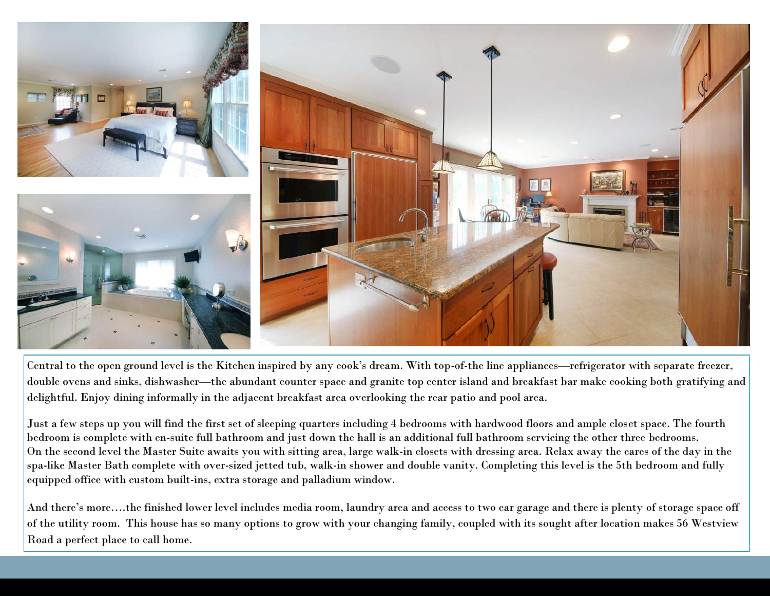

Central to the open ground level is the Kitchen inspired by any cook's dream. With top-of-the line appliances—refrigerator with separate freezer, double ovens and sinks, dishwasher—the abundant counter space and granite top center island and breakfast bar make cooking both gratifying and delightful. Enjoy dining informally in the adjacent breakfast area overlooking the rear patio and pool area.

Just a few steps up you will find the first set of sleeping quarters including 4 bedrooms with hardwood floors and ample closet space. The fourth bedroom is complete with en-suite full bathroom and just down the hall is an additional full bathroom servicing the other three bedrooms. On the second level the Master Suite awaits you with sitting area, large walk-in closets with dressing area. Relax away the cares of the day in the spa-like Master Bath complete with over-sized jetted tub, walk-in shower and double vanity. Completing this level is the 5th bedroom and fully equipped office with custom built-ins, extra storage and palladium window.

And there's more….the finished lower level includes media room, laundry area and access to two car garage and there is plenty of storage space off of the utility room. This house has so many options to grow with your changing family, coupled with its sought after location makes 56 Westview Road a perfect place to call home.